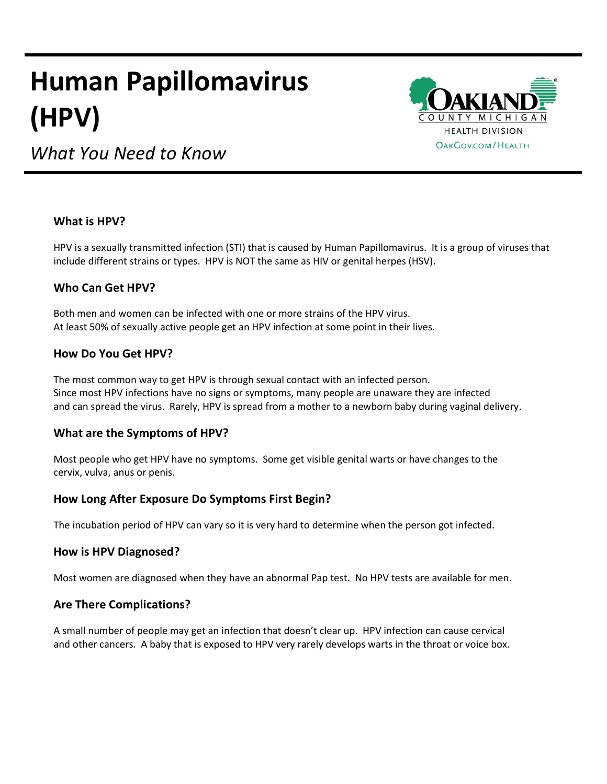# **Human Papillomavirus (HPV)**



*What You Need to Know*

### **What is HPV?**

HPV is a sexually transmitted infection (STI) that is caused by Human Papillomavirus. It is a group of viruses that include different strains or types. HPV is NOT the same as HIV or genital herpes (HSV).

## **Who Can Get HPV?**

Both men and women can be infected with one or more strains of the HPV virus. At least 50% of sexually active people get an HPV infection at some point in their lives.

### **How Do You Get HPV?**

The most common way to get HPV is through sexual contact with an infected person. Since most HPV infections have no signs or symptoms, many people are unaware they are infected and can spread the virus. Rarely, HPV is spread from a mother to a newborn baby during vaginal delivery.

#### **What are the Symptoms of HPV?**

Most people who get HPV have no symptoms. Some get visible genital warts or have changes to the cervix, vulva, anus or penis.

## **How Long After Exposure Do Symptoms First Begin?**

The incubation period of HPV can vary so it is very hard to determine when the person got infected.

#### **How is HPV Diagnosed?**

Most women are diagnosed when they have an abnormal Pap test. No HPV tests are available for men.

## **Are There Complications?**

A small number of people may get an infection that doesn't clear up. HPV infection can cause cervical and other cancers. A baby that is exposed to HPV very rarely develops warts in the throat or voice box.